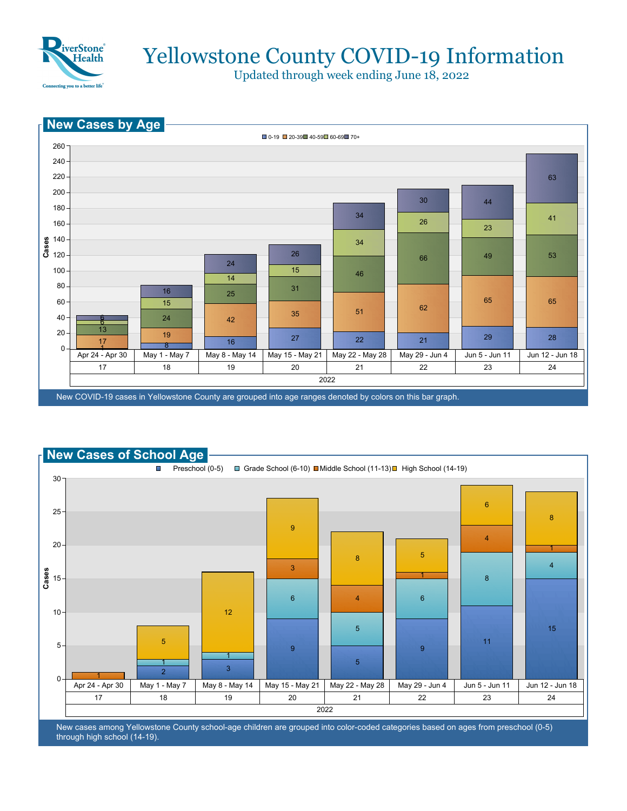

Updated through week ending June 18, 2022





New cases among Yellowstone County school-age children are grouped into color-coded categories based on ages from preschool (0-5) through high school (14-19).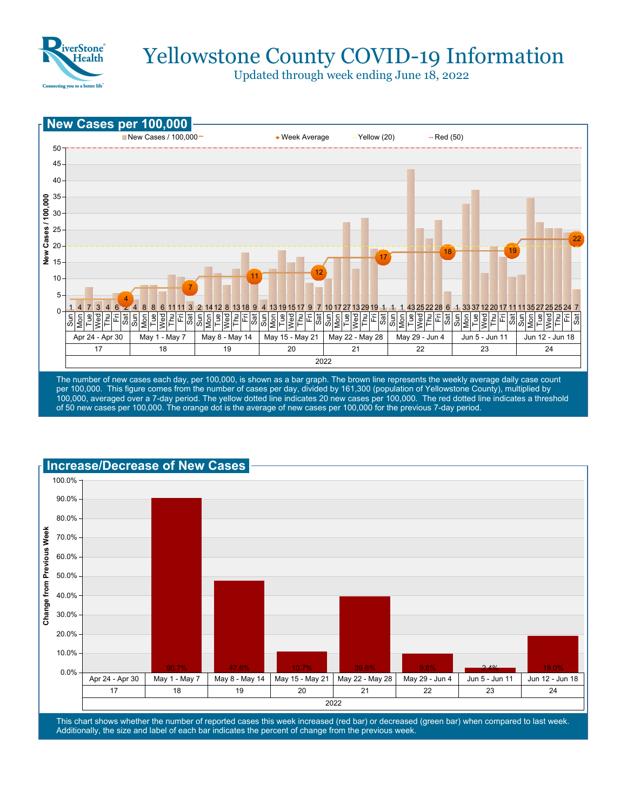

Updated through week ending June 18, 2022



per 100,000. This figure comes from the number of cases per day, divided by 161,300 (population of Yellowstone County), multiplied by 100,000, averaged over a 7-day period. The yellow dotted line indicates 20 new cases per 100,000. The red dotted line indicates a threshold of 50 new cases per 100,000. The orange dot is the average of new cases per 100,000 for the previous 7-day period.



This chart shows whether the number of reported cases this week increased (red bar) or decreased (green bar) when compared to last week. Additionally, the size and label of each bar indicates the percent of change from the previous week.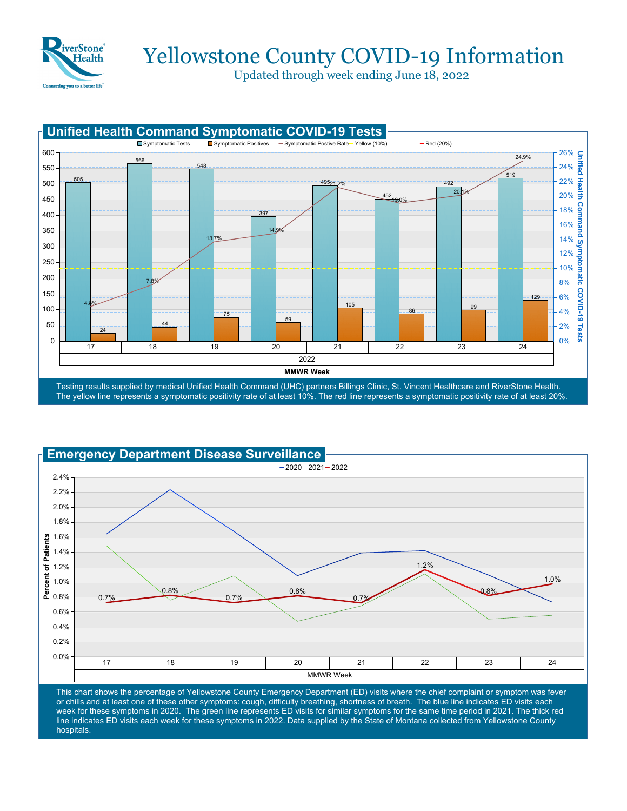

Updated through week ending June 18, 2022





This chart shows the percentage of Yellowstone County Emergency Department (ED) visits where the chief complaint or symptom was fever or chills and at least one of these other symptoms: cough, difficulty breathing, shortness of breath. The blue line indicates ED visits each week for these symptoms in 2020. The green line represents ED visits for similar symptoms for the same time period in 2021. The thick red line indicates ED visits each week for these symptoms in 2022. Data supplied by the State of Montana collected from Yellowstone County hospitals.